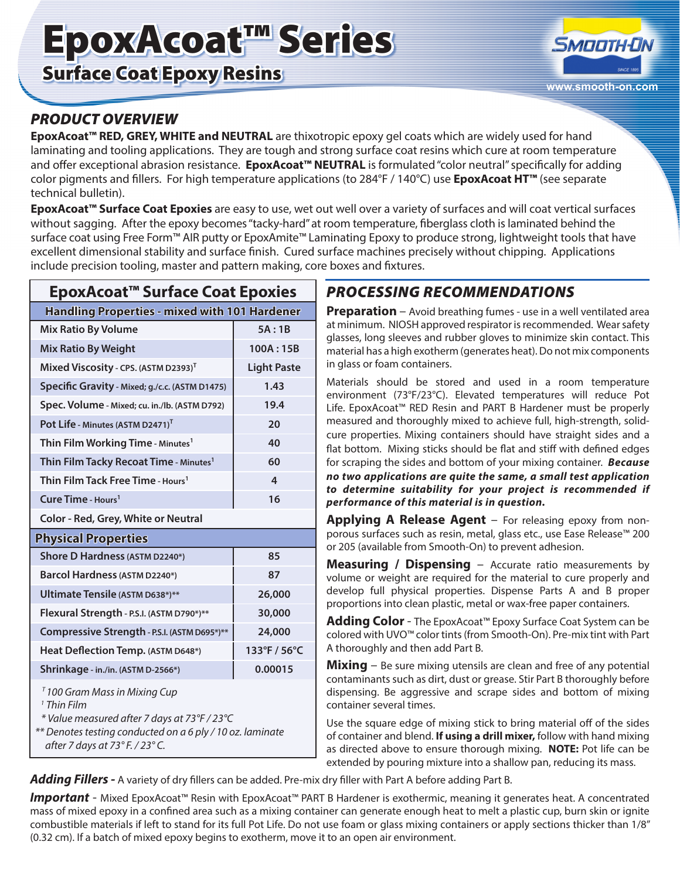# EpoxAcoat™ Series

Surface Coat Epoxy Resins **Warehout 2008 and Coat Epoxy Resins** 



## *PRODUCT OVERVIEW*

**EpoxAcoat™ RED, GREY, WHITE and NEUTRAL** are thixotropic epoxy gel coats which are widely used for hand laminating and tooling applications. They are tough and strong surface coat resins which cure at room temperature and offer exceptional abrasion resistance. **EpoxAcoat™ NEUTRAL** is formulated "color neutral" specifically for adding color pigments and fillers. For high temperature applications (to 284°F / 140°C) use **EpoxAcoat HT™** (see separate technical bulletin).

**EpoxAcoat™ Surface Coat Epoxies** are easy to use, wet out well over a variety of surfaces and will coat vertical surfaces without sagging. After the epoxy becomes "tacky-hard" at room temperature, fiberglass cloth is laminated behind the surface coat using Free Form™ AIR putty or EpoxAmite™ Laminating Epoxy to produce strong, lightweight tools that have excellent dimensional stability and surface finish. Cured surface machines precisely without chipping. Applications include precision tooling, master and pattern making, core boxes and fixtures.

| <b>EpoxAcoat™ Surface Coat Epoxies</b>                                                                                                                                                                           |                         |
|------------------------------------------------------------------------------------------------------------------------------------------------------------------------------------------------------------------|-------------------------|
| <b>Handling Properties - mixed with 101 Hardener</b>                                                                                                                                                             |                         |
| <b>Mix Ratio By Volume</b>                                                                                                                                                                                       | 5A:1B                   |
| <b>Mix Ratio By Weight</b>                                                                                                                                                                                       | 100A:15B                |
| Mixed Viscosity - CPS. (ASTM D2393) <sup>T</sup>                                                                                                                                                                 | <b>Light Paste</b>      |
| Specific Gravity - Mixed; g./c.c. (ASTM D1475)                                                                                                                                                                   | 1.43                    |
| Spec. Volume - Mixed; cu. in./lb. (ASTM D792)                                                                                                                                                                    | 19.4                    |
| Pot Life - Minutes (ASTM D2471) <sup>T</sup>                                                                                                                                                                     | 20                      |
| Thin Film Working Time - Minutes <sup>1</sup>                                                                                                                                                                    | 40                      |
| Thin Film Tacky Recoat Time - Minutes <sup>1</sup>                                                                                                                                                               | 60                      |
| Thin Film Tack Free Time - Hours <sup>1</sup>                                                                                                                                                                    | $\overline{\mathbf{A}}$ |
| Cure Time - Hours <sup>1</sup>                                                                                                                                                                                   | 16                      |
| Color - Red, Grey, White or Neutral                                                                                                                                                                              |                         |
| <b>Physical Properties</b>                                                                                                                                                                                       |                         |
| Shore D Hardness (ASTM D2240*)                                                                                                                                                                                   | 85                      |
| Barcol Hardness (ASTM D2240*)                                                                                                                                                                                    | 87                      |
| Ultimate Tensile (ASTM D638*)**                                                                                                                                                                                  | 26,000                  |
| Flexural Strength - P.S.I. (ASTM D790*)**                                                                                                                                                                        | 30,000                  |
| Compressive Strength - P.S.I. (ASTM D695*)**                                                                                                                                                                     | 24,000                  |
| Heat Deflection Temp. (ASTM D648*)                                                                                                                                                                               | 133°F / 56°C            |
| Shrinkage - in./in. (ASTM D-2566*)                                                                                                                                                                               | 0.00015                 |
| <sup>T</sup> 100 Gram Mass in Mixing Cup<br><sup>1</sup> Thin Film<br>* Value measured after 7 days at 73°F / 23°C<br>** Denotes testing conducted on a 6 ply / 10 oz. laminate<br>after 7 days at 73°F. / 23°C. |                         |

## *PROCESSING RECOMMENDATIONS*

**Preparation** – Avoid breathing fumes - use in a well ventilated area at minimum. NIOSH approved respirator is recommended. Wear safety glasses, long sleeves and rubber gloves to minimize skin contact. This material has a high exotherm (generates heat). Do not mix components in glass or foam containers.

Materials should be stored and used in a room temperature environment (73°F/23°C). Elevated temperatures will reduce Pot Life. EpoxAcoat™ RED Resin and PART B Hardener must be properly measured and thoroughly mixed to achieve full, high-strength, solidcure properties. Mixing containers should have straight sides and a flat bottom. Mixing sticks should be flat and stiff with defined edges for scraping the sides and bottom of your mixing container. *Because no two applications are quite the same, a small test application to determine suitability for your project is recommended if performance of this material is in question.*

**Applying A Release Agent** – For releasing epoxy from nonporous surfaces such as resin, metal, glass etc., use Ease Release™ 200 or 205 (available from Smooth-On) to prevent adhesion.

**Measuring / Dispensing** – Accurate ratio measurements by volume or weight are required for the material to cure properly and develop full physical properties. Dispense Parts A and B proper proportions into clean plastic, metal or wax-free paper containers.

**Adding Color** - The EpoxAcoat™ Epoxy Surface Coat System can be colored with UVO™ color tints (from Smooth-On). Pre-mix tint with Part A thoroughly and then add Part B.

**Mixing** – Be sure mixing utensils are clean and free of any potential contaminants such as dirt, dust or grease. Stir Part B thoroughly before dispensing. Be aggressive and scrape sides and bottom of mixing container several times.

Use the square edge of mixing stick to bring material off of the sides of container and blend. **If using a drill mixer,** follow with hand mixing as directed above to ensure thorough mixing. **NOTE:** Pot life can be extended by pouring mixture into a shallow pan, reducing its mass.

*Adding Fillers -* A variety of dry fillers can be added. Pre-mix dry filler with Part A before adding Part B.

*Important* - Mixed EpoxAcoat™ Resin with EpoxAcoat™ PART B Hardener is exothermic, meaning it generates heat. A concentrated mass of mixed epoxy in a confined area such as a mixing container can generate enough heat to melt a plastic cup, burn skin or ignite combustible materials if left to stand for its full Pot Life. Do not use foam or glass mixing containers or apply sections thicker than 1/8" (0.32 cm). If a batch of mixed epoxy begins to exotherm, move it to an open air environment.